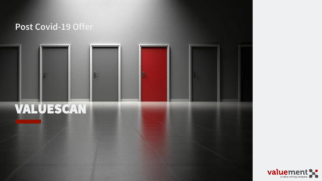#### **Post Covid-19 Offer**

# VALUESCAN

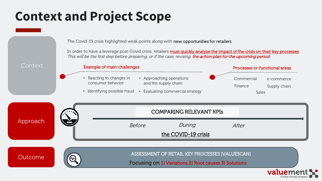## **Context and Project Scope**

Example of main challenges

The Covid-19 crisis highlighted weak points along with new opportunities for retailers.

In order to have a leverage post-Covid crisis, retailers **must quickly analyze the impact of the crisis on their key processes**. This will be the first step before preparing, or if the case, revising, the action plan for the upcoming period.

Context

| <b>UUITICYL</b> | Example of main challenges                                                             |               |                                                                                    | Processes or functional areas  |                            |  |
|-----------------|----------------------------------------------------------------------------------------|---------------|------------------------------------------------------------------------------------|--------------------------------|----------------------------|--|
|                 | Reacting to changes in<br>consumer behavior<br>Identifying possible fraud<br>$\bullet$ |               | • Approaching operations<br>and the supply chain<br>Evaluating commercial strategy | Commercial<br>Finance<br>Sales | e-commerce<br>Supply chain |  |
| Approach        |                                                                                        |               | <b>COMPARING RELEVANT KPIS</b>                                                     |                                |                            |  |
|                 |                                                                                        | <b>Before</b> | During<br>the COVID-19 crisis                                                      | After                          |                            |  |
|                 |                                                                                        |               |                                                                                    |                                |                            |  |





Outcome **ASSESSMENT OF RETAIL KEY PROCESSES (VALUESCAN)** 

Focusing on 1) Variations 2) Root causes 3) Solutions

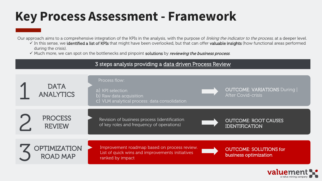#### **Key Process Assessment - Framework**

Our approach aims to a comprehensive integration of the KPIs in the analysis, with the purpose of *linking the indicator to the process*, at a deeper level.

- √ In this sense, we identified a list of KPIs that might have been overlooked, but that can offer valuable insights (how functional areas performed during the crisis).
- $\checkmark$  Much more, we can spot on the bottlenecks and pinpoint solutions by reviewing the business process.

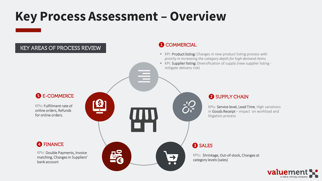### **Key Process Assessment – Overview**



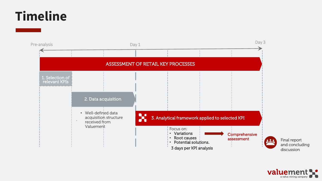### **Timeline**